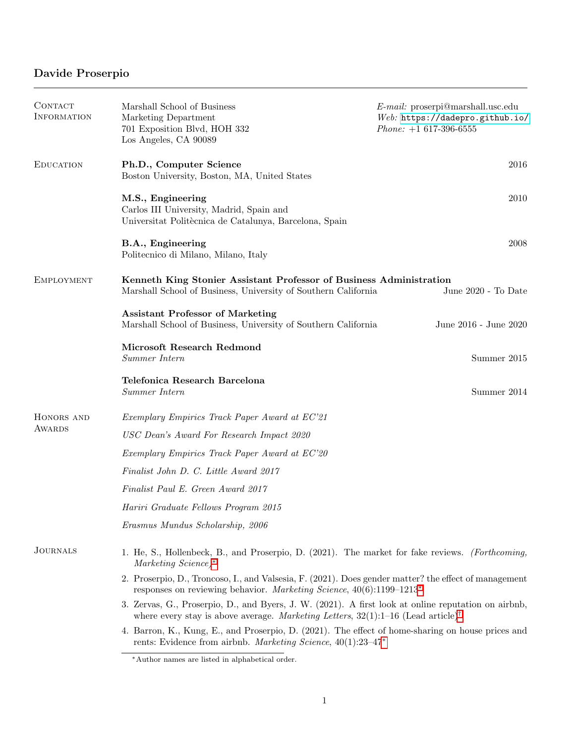## <span id="page-0-1"></span>Davide Proserpio

| CONTACT<br><b>INFORMATION</b> | Marshall School of Business<br>Marketing Department<br>701 Exposition Blvd, HOH 332<br>Los Angeles, CA 90089                                                                                           | $E$ -mail: proserpi@marshall.usc.edu<br>Web: https://dadepro.github.io/<br>$Phone: +1 617-396-6555$ |
|-------------------------------|--------------------------------------------------------------------------------------------------------------------------------------------------------------------------------------------------------|-----------------------------------------------------------------------------------------------------|
| <b>EDUCATION</b>              | Ph.D., Computer Science<br>Boston University, Boston, MA, United States                                                                                                                                | 2016                                                                                                |
|                               | M.S., Engineering<br>Carlos III University, Madrid, Spain and<br>Universitat Politècnica de Catalunya, Barcelona, Spain                                                                                | $2010\,$                                                                                            |
|                               | B.A., Engineering<br>Politecnico di Milano, Milano, Italy                                                                                                                                              | 2008                                                                                                |
| <b>EMPLOYMENT</b>             | Kenneth King Stonier Assistant Professor of Business Administration<br>Marshall School of Business, University of Southern California                                                                  | June 2020 - To Date                                                                                 |
|                               | <b>Assistant Professor of Marketing</b><br>Marshall School of Business, University of Southern California                                                                                              | June 2016 - June 2020                                                                               |
|                               | Microsoft Research Redmond<br>Summer Intern                                                                                                                                                            | Summer 2015                                                                                         |
|                               | Telefonica Research Barcelona<br>Summer Intern                                                                                                                                                         | Summer 2014                                                                                         |
| HONORS AND                    | Exemplary Empirics Track Paper Award at EC'21                                                                                                                                                          |                                                                                                     |
| <b>AWARDS</b>                 | USC Dean's Award For Research Impact 2020                                                                                                                                                              |                                                                                                     |
|                               | Exemplary Empirics Track Paper Award at EC'20                                                                                                                                                          |                                                                                                     |
|                               | Finalist John D. C. Little Award 2017                                                                                                                                                                  |                                                                                                     |
|                               | Finalist Paul E. Green Award 2017                                                                                                                                                                      |                                                                                                     |
|                               | Hariri Graduate Fellows Program 2015                                                                                                                                                                   |                                                                                                     |
|                               | Erasmus Mundus Scholarship, 2006                                                                                                                                                                       |                                                                                                     |
| <b>JOURNALS</b>               | 1. He, S., Hollenbeck, B., and Proserpio, D. (2021). The market for fake reviews. (Forthcoming,<br>Marketing Science)*                                                                                 |                                                                                                     |
|                               | 2. Proserpio, D., Troncoso, I., and Valsesia, F. (2021). Does gender matter? the effect of management<br>responses on reviewing behavior. Marketing Science, $40(6):1199-1213*$                        |                                                                                                     |
|                               | 3. Zervas, G., Proserpio, D., and Byers, J. W. (2021). A first look at online reputation on airbnb,<br>where every stay is above average. Marketing Letters, $32(1)$ :1-16 (Lead article) <sup>†</sup> |                                                                                                     |
|                               | 4. Barron, K., Kung, E., and Proserpio, D. (2021). The effect of home-sharing on house prices and<br>rents: Evidence from airbnb. Marketing Science, $40(1):23-47*$                                    |                                                                                                     |

<span id="page-0-0"></span><sup>∗</sup>Author names are listed in alphabetical order.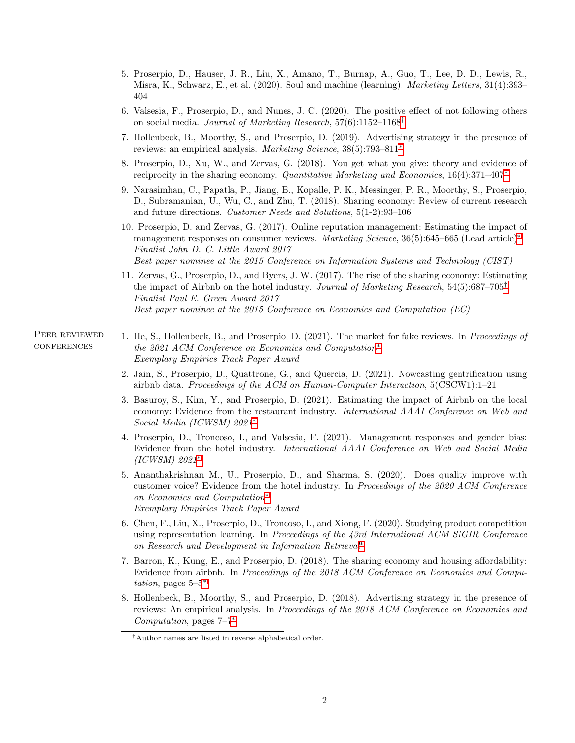- 5. Proserpio, D., Hauser, J. R., Liu, X., Amano, T., Burnap, A., Guo, T., Lee, D. D., Lewis, R., Misra, K., Schwarz, E., et al. (2020). Soul and machine (learning). *Marketing Letters*, 31(4):393– 404
- 6. Valsesia, F., Proserpio, D., and Nunes, J. C. (2020). The positive effect of not following others on social media. Journal of Marketing Research, 57(6):1152–1168<sup>[†](#page-1-0)</sup>
- 7. Hollenbeck, B., Moorthy, S., and Proserpio, D. (2019). Advertising strategy in the presence of reviews: an empirical analysis. Marketing Science, 38(5):793–811[∗](#page-0-1)
- 8. Proserpio, D., Xu, W., and Zervas, G. (2018). You get what you give: theory and evidence of reciprocity in the sharing economy. Quantitative Marketing and Economics, 16(4):371–407[∗](#page-0-1)
- 9. Narasimhan, C., Papatla, P., Jiang, B., Kopalle, P. K., Messinger, P. R., Moorthy, S., Proserpio, D., Subramanian, U., Wu, C., and Zhu, T. (2018). Sharing economy: Review of current research and future directions. Customer Needs and Solutions, 5(1-2):93–106
- 10. Proserpio, D. and Zervas, G. (2017). Online reputation management: Estimating the impact of management responses on consumer reviews. Marketing Science, 36(5):645–665 (Lead article)<sup>[∗](#page-0-1)</sup> Finalist John D. C. Little Award 2017 Best paper nominee at the 2015 Conference on Information Systems and Technology (CIST)
- 11. Zervas, G., Proserpio, D., and Byers, J. W. (2017). The rise of the sharing economy: Estimating the impact of Airbnb on the hotel industry. Journal of Marketing Research,  $54(5):687-705^{\dagger}$ Finalist Paul E. Green Award 2017 Best paper nominee at the 2015 Conference on Economics and Computation (EC)

Peer reviewed **CONFERENCES** 

- 1. He, S., Hollenbeck, B., and Proserpio, D. (2021). The market for fake reviews. In Proceedings of the 2021 ACM Conference on Economics and Computation[∗](#page-0-1) Exemplary Empirics Track Paper Award
	- 2. Jain, S., Proserpio, D., Quattrone, G., and Quercia, D. (2021). Nowcasting gentrification using airbnb data. Proceedings of the ACM on Human-Computer Interaction, 5(CSCW1):1–21
	- 3. Basuroy, S., Kim, Y., and Proserpio, D. (2021). Estimating the impact of Airbnb on the local economy: Evidence from the restaurant industry. *International AAAI Conference on Web and* Social Media (ICWSM) 2021[∗](#page-0-1)
	- 4. Proserpio, D., Troncoso, I., and Valsesia, F. (2021). Management responses and gender bias: Evidence from the hotel industry. International AAAI Conference on Web and Social Media (ICWSM) 2021[∗](#page-0-1)
	- 5. Ananthakrishnan M., U., Proserpio, D., and Sharma, S. (2020). Does quality improve with customer voice? Evidence from the hotel industry. In Proceedings of the 2020 ACM Conference on Economics and Computation[∗](#page-0-1) Exemplary Empirics Track Paper Award
	- 6. Chen, F., Liu, X., Proserpio, D., Troncoso, I., and Xiong, F. (2020). Studying product competition using representation learning. In Proceedings of the 43rd International ACM SIGIR Conference on Research and Development in Information Retrieval[∗](#page-0-1)
	- 7. Barron, K., Kung, E., and Proserpio, D. (2018). The sharing economy and housing affordability: Evidence from airbnb. In Proceedings of the 2018 ACM Conference on Economics and Computation, pages  $5-5^*$
	- 8. Hollenbeck, B., Moorthy, S., and Proserpio, D. (2018). Advertising strategy in the presence of reviews: An empirical analysis. In Proceedings of the 2018 ACM Conference on Economics and Computation, pages 7–7[∗](#page-0-1)

<span id="page-1-0"></span><sup>†</sup>Author names are listed in reverse alphabetical order.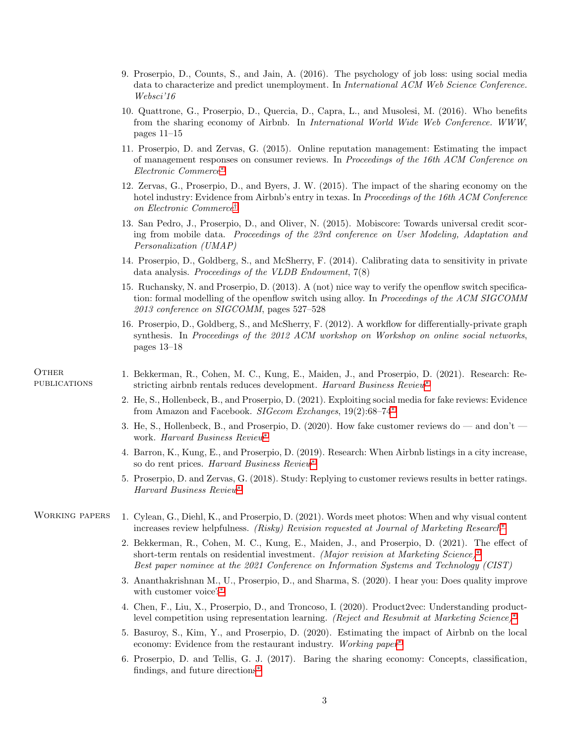- 9. Proserpio, D., Counts, S., and Jain, A. (2016). The psychology of job loss: using social media data to characterize and predict unemployment. In International ACM Web Science Conference. Websci'16
- 10. Quattrone, G., Proserpio, D., Quercia, D., Capra, L., and Musolesi, M. (2016). Who benefits from the sharing economy of Airbnb. In International World Wide Web Conference. WWW, pages 11–15
- 11. Proserpio, D. and Zervas, G. (2015). Online reputation management: Estimating the impact of management responses on consumer reviews. In Proceedings of the 16th ACM Conference on Electronic Commerce[∗](#page-0-1)
- 12. Zervas, G., Proserpio, D., and Byers, J. W. (2015). The impact of the sharing economy on the hotel industry: Evidence from Airbnb's entry in texas. In Proceedings of the 16th ACM Conference on Electronic Commerce[†](#page-0-1)
- 13. San Pedro, J., Proserpio, D., and Oliver, N. (2015). Mobiscore: Towards universal credit scoring from mobile data. Proceedings of the 23rd conference on User Modeling, Adaptation and Personalization (UMAP)
- 14. Proserpio, D., Goldberg, S., and McSherry, F. (2014). Calibrating data to sensitivity in private data analysis. Proceedings of the VLDB Endowment, 7(8)
- 15. Ruchansky, N. and Proserpio, D. (2013). A (not) nice way to verify the openflow switch specification: formal modelling of the openflow switch using alloy. In *Proceedings of the ACM SIGCOMM* 2013 conference on SIGCOMM, pages 527–528
- 16. Proserpio, D., Goldberg, S., and McSherry, F. (2012). A workflow for differentially-private graph synthesis. In Proceedings of the 2012 ACM workshop on Workshop on online social networks, pages 13–18

**OTHER PUBLICATIONS** 

- 1. Bekkerman, R., Cohen, M. C., Kung, E., Maiden, J., and Proserpio, D. (2021). Research: Restricting airbnb rentals reduces development. Harvard Business Review<sup>\*</sup>
- 2. He, S., Hollenbeck, B., and Proserpio, D. (2021). Exploiting social media for fake reviews: Evidence from Amazon and Facebook. SIGecom Exchanges, 19(2):68–74<sup>\*</sup>
- 3. He, S., Hollenbeck, B., and Proserpio, D. (2020). How fake customer reviews do and don't work. Harvard Business Review<sup>\*</sup>
- 4. Barron, K., Kung, E., and Proserpio, D. (2019). Research: When Airbnb listings in a city increase, so do rent prices. Harvard Business Review[∗](#page-0-1)
- 5. Proserpio, D. and Zervas, G. (2018). Study: Replying to customer reviews results in better ratings. Harvard Business Review[∗](#page-0-1)

## WORKING PAPERS 1. Cylean, G., Diehl, K., and Proserpio, D. (2021). Words meet photos: When and why visual content increases review helpfulness. (Risky) Revision requested at Journal of Marketing Research[∗](#page-0-1)

- 2. Bekkerman, R., Cohen, M. C., Kung, E., Maiden, J., and Proserpio, D. (2021). The effect of short-term rentals on residential investment. *(Major revision at Marketing Science)*<sup>[∗](#page-0-1)</sup> Best paper nominee at the 2021 Conference on Information Systems and Technology (CIST)
- 3. Ananthakrishnan M., U., Proserpio, D., and Sharma, S. (2020). I hear you: Does quality improve with customer voice?[∗](#page-0-1)
- 4. Chen, F., Liu, X., Proserpio, D., and Troncoso, I. (2020). Product2vec: Understanding productlevel competition using representation learning. (Reject and Resubmit at Marketing Science)[∗](#page-0-1)
- 5. Basuroy, S., Kim, Y., and Proserpio, D. (2020). Estimating the impact of Airbnb on the local economy: Evidence from the restaurant industry. Working paper<sup>[∗](#page-0-1)</sup>
- 6. Proserpio, D. and Tellis, G. J. (2017). Baring the sharing economy: Concepts, classification, findings, and future directions[∗](#page-0-1)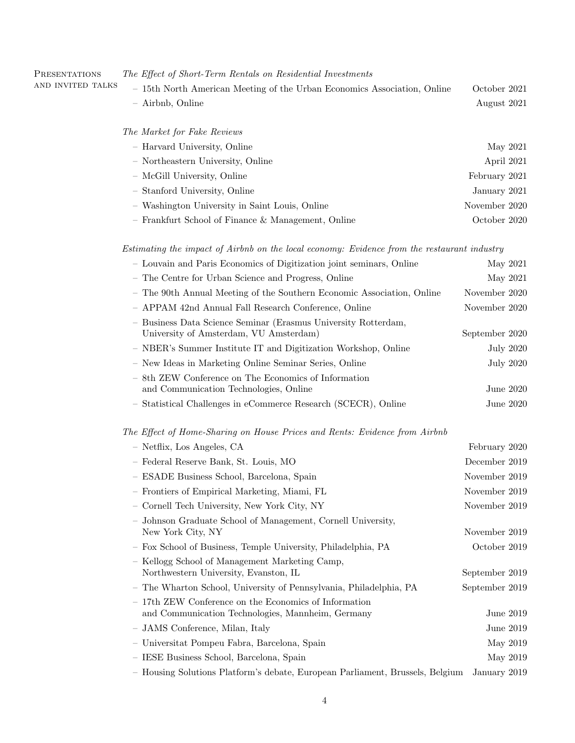| - 15th North American Meeting of the Urban Economics Association, Online | October 2021                                                                                                                                                                                                                                                                                 |
|--------------------------------------------------------------------------|----------------------------------------------------------------------------------------------------------------------------------------------------------------------------------------------------------------------------------------------------------------------------------------------|
|                                                                          | August 2021                                                                                                                                                                                                                                                                                  |
|                                                                          |                                                                                                                                                                                                                                                                                              |
|                                                                          | May 2021                                                                                                                                                                                                                                                                                     |
|                                                                          | April 2021                                                                                                                                                                                                                                                                                   |
|                                                                          | February 2021                                                                                                                                                                                                                                                                                |
|                                                                          | January 2021                                                                                                                                                                                                                                                                                 |
|                                                                          | November 2020                                                                                                                                                                                                                                                                                |
|                                                                          | October 2020                                                                                                                                                                                                                                                                                 |
|                                                                          | - Airbnb, Online<br>The Market for Fake Reviews<br>- Harvard University, Online<br>- Northeastern University, Online<br>- McGill University, Online<br>- Stanford University, Online<br>- Washington University in Saint Louis, Online<br>- Frankfurt School of Finance & Management, Online |

Estimating the impact of Airbnb on the local economy: Evidence from the restaurant industry

| - Louvain and Paris Economics of Digitization joint seminars, Online                                       | May 2021         |
|------------------------------------------------------------------------------------------------------------|------------------|
| - The Centre for Urban Science and Progress, Online                                                        | May 2021         |
| - The 90th Annual Meeting of the Southern Economic Association, Online                                     | November 2020    |
| - APPAM 42nd Annual Fall Research Conference, Online                                                       | November 2020    |
| - Business Data Science Seminar (Erasmus University Rotterdam,<br>University of Amsterdam, VU Amsterdam)   | September 2020   |
| - NBER's Summer Institute IT and Digitization Workshop, Online                                             | <b>July 2020</b> |
| - New Ideas in Marketing Online Seminar Series, Online                                                     | <b>July 2020</b> |
| - 8th ZEW Conference on The Economics of Information<br>and Communication Technologies, Online             | June 2020        |
| - Statistical Challenges in eCommerce Research (SCECR), Online                                             | June 2020        |
| The Effect of Home-Sharing on House Prices and Rents: Evidence from Airbnb                                 |                  |
| - Netflix, Los Angeles, CA                                                                                 | February 2020    |
| - Federal Reserve Bank, St. Louis, MO                                                                      | December 2019    |
| - ESADE Business School, Barcelona, Spain                                                                  | November 2019    |
| - Frontiers of Empirical Marketing, Miami, FL                                                              | November $2019$  |
| - Cornell Tech University, New York City, NY                                                               | November 2019    |
| - Johnson Graduate School of Management, Cornell University,<br>New York City, NY                          | November $2019$  |
| - Fox School of Business, Temple University, Philadelphia, PA                                              | October 2019     |
| - Kellogg School of Management Marketing Camp,<br>Northwestern University, Evanston, IL                    | September 2019   |
| - The Wharton School, University of Pennsylvania, Philadelphia, PA                                         | September 2019   |
| - 17th ZEW Conference on the Economics of Information<br>and Communication Technologies, Mannheim, Germany | June 2019        |
| - JAMS Conference, Milan, Italy                                                                            | June 2019        |
| - Universitat Pompeu Fabra, Barcelona, Spain                                                               | May 2019         |
| - IESE Business School, Barcelona, Spain                                                                   | May 2019         |
| - Housing Solutions Platform's debate, European Parliament, Brussels, Belgium                              | January 2019     |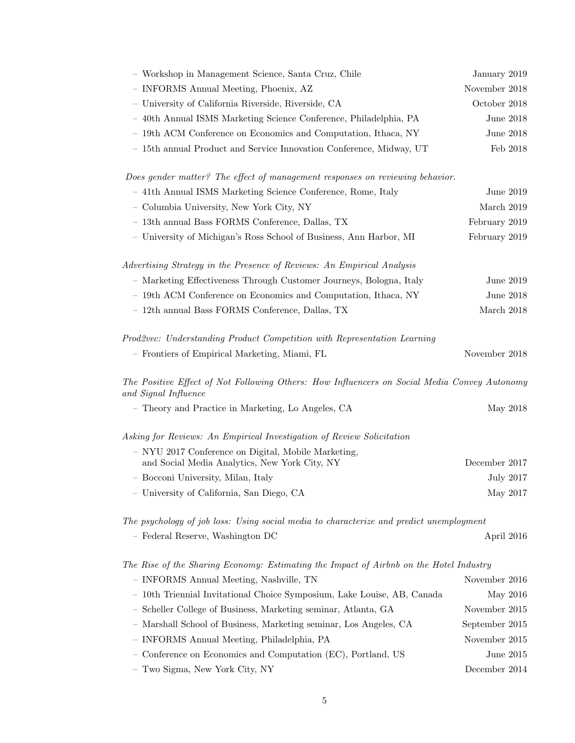| - Workshop in Management Science, Santa Cruz, Chile                                                                  | January 2019     |
|----------------------------------------------------------------------------------------------------------------------|------------------|
| - INFORMS Annual Meeting, Phoenix, AZ                                                                                | November 2018    |
| - University of California Riverside, Riverside, CA                                                                  | October 2018     |
| - 40th Annual ISMS Marketing Science Conference, Philadelphia, PA                                                    | June 2018        |
| - 19th ACM Conference on Economics and Computation, Ithaca, NY                                                       | June 2018        |
| - 15th annual Product and Service Innovation Conference, Midway, UT                                                  | Feb 2018         |
| Does gender matter? The effect of management responses on reviewing behavior.                                        |                  |
| - 41th Annual ISMS Marketing Science Conference, Rome, Italy                                                         | June 2019        |
| - Columbia University, New York City, NY                                                                             | March 2019       |
| - 13th annual Bass FORMS Conference, Dallas, TX                                                                      | February 2019    |
| - University of Michigan's Ross School of Business, Ann Harbor, MI                                                   | February 2019    |
| Advertising Strategy in the Presence of Reviews: An Empirical Analysis                                               |                  |
| - Marketing Effectiveness Through Customer Journeys, Bologna, Italy                                                  | June 2019        |
| - 19th ACM Conference on Economics and Computation, Ithaca, NY                                                       | June 2018        |
| - 12th annual Bass FORMS Conference, Dallas, TX                                                                      | March 2018       |
|                                                                                                                      |                  |
| Prod2vec: Understanding Product Competition with Representation Learning                                             |                  |
| - Frontiers of Empirical Marketing, Miami, FL                                                                        | November 2018    |
| The Positive Effect of Not Following Others: How Influencers on Social Media Convey Autonomy<br>and Signal Influence |                  |
| - Theory and Practice in Marketing, Lo Angeles, CA                                                                   | May 2018         |
| Asking for Reviews: An Empirical Investigation of Review Solicitation                                                |                  |
| - NYU 2017 Conference on Digital, Mobile Marketing,                                                                  |                  |
| and Social Media Analytics, New York City, NY                                                                        | December 2017    |
| - Bocconi University, Milan, Italy                                                                                   | <b>July 2017</b> |
| - University of California, San Diego, CA                                                                            | May 2017         |
| The psychology of job loss: Using social media to characterize and predict unemployment                              |                  |
| - Federal Reserve, Washington DC                                                                                     | April 2016       |
| The Rise of the Sharing Economy: Estimating the Impact of Airbnb on the Hotel Industry                               |                  |
| - INFORMS Annual Meeting, Nashville, TN                                                                              | November 2016    |
| - 10th Triennial Invitational Choice Symposium, Lake Louise, AB, Canada                                              | May 2016         |
| - Scheller College of Business, Marketing seminar, Atlanta, GA                                                       | November 2015    |
| Marshall School of Business, Marketing seminar, Los Angeles, CA                                                      | September 2015   |
| - INFORMS Annual Meeting, Philadelphia, PA                                                                           | November 2015    |
| Conference on Economics and Computation (EC), Portland, US                                                           | June $2015$      |

– Two Sigma, New York City, NY December 2014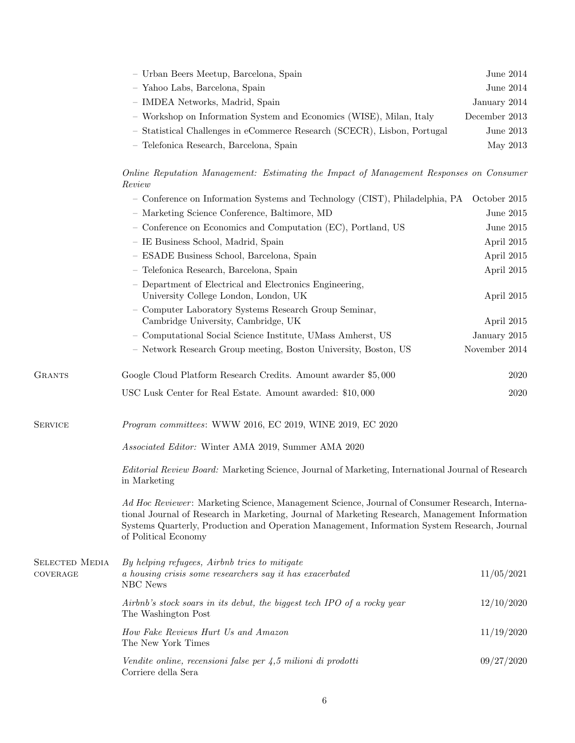| - Urban Beers Meetup, Barcelona, Spain                                   | June $2014$   |
|--------------------------------------------------------------------------|---------------|
| - Yahoo Labs, Barcelona, Spain                                           | June $2014$   |
| - IMDEA Networks, Madrid, Spain                                          | January 2014  |
| - Workshop on Information System and Economics (WISE), Milan, Italy      | December 2013 |
| - Statistical Challenges in eCommerce Research (SCECR), Lisbon, Portugal | June $2013$   |
| - Telefonica Research, Barcelona, Spain                                  | May 2013      |

Online Reputation Management: Estimating the Impact of Management Responses on Consumer Review

|                       | - Conference on Information Systems and Technology (CIST), Philadelphia, PA                                                                                                                                                                                                                                              | October 2015  |
|-----------------------|--------------------------------------------------------------------------------------------------------------------------------------------------------------------------------------------------------------------------------------------------------------------------------------------------------------------------|---------------|
|                       | - Marketing Science Conference, Baltimore, MD                                                                                                                                                                                                                                                                            | June 2015     |
|                       | - Conference on Economics and Computation (EC), Portland, US                                                                                                                                                                                                                                                             | June $2015$   |
|                       | - IE Business School, Madrid, Spain                                                                                                                                                                                                                                                                                      | April 2015    |
|                       | - ESADE Business School, Barcelona, Spain                                                                                                                                                                                                                                                                                | April 2015    |
|                       | - Telefonica Research, Barcelona, Spain                                                                                                                                                                                                                                                                                  | April 2015    |
|                       | - Department of Electrical and Electronics Engineering,<br>University College London, London, UK                                                                                                                                                                                                                         | April 2015    |
|                       | - Computer Laboratory Systems Research Group Seminar,<br>Cambridge University, Cambridge, UK                                                                                                                                                                                                                             | April 2015    |
|                       | - Computational Social Science Institute, UMass Amherst, US                                                                                                                                                                                                                                                              | January 2015  |
|                       | - Network Research Group meeting, Boston University, Boston, US                                                                                                                                                                                                                                                          | November 2014 |
| <b>GRANTS</b>         | Google Cloud Platform Research Credits. Amount awarder \$5,000                                                                                                                                                                                                                                                           | 2020          |
|                       | USC Lusk Center for Real Estate. Amount awarded: \$10,000                                                                                                                                                                                                                                                                | 2020          |
| <b>SERVICE</b>        | $Program\ committees{:}$ WWW 2016, EC 2019, WINE 2019, EC 2020                                                                                                                                                                                                                                                           |               |
|                       | Associated Editor: Winter AMA 2019, Summer AMA 2020                                                                                                                                                                                                                                                                      |               |
|                       | Editorial Review Board: Marketing Science, Journal of Marketing, International Journal of Research<br>in Marketing                                                                                                                                                                                                       |               |
|                       | Ad Hoc Reviewer: Marketing Science, Management Science, Journal of Consumer Research, Interna-<br>tional Journal of Research in Marketing, Journal of Marketing Research, Management Information<br>Systems Quarterly, Production and Operation Management, Information System Research, Journal<br>of Political Economy |               |
| <b>SELECTED MEDIA</b> | By helping refugees, Airbnb tries to mitigate                                                                                                                                                                                                                                                                            |               |
| COVERAGE              | a housing crisis some researchers say it has exacerbated<br>NBC News                                                                                                                                                                                                                                                     | 11/05/2021    |
|                       | Airbnb's stock soars in its debut, the biggest tech IPO of a rocky year<br>The Washington Post                                                                                                                                                                                                                           | 12/10/2020    |
|                       | How Fake Reviews Hurt Us and Amazon<br>The New York Times                                                                                                                                                                                                                                                                | 11/19/2020    |
|                       | Vendite online, recensioni false per $\frac{1}{4}$ ,5 milioni di prodotti<br>Corriere della Sera                                                                                                                                                                                                                         | 09/27/2020    |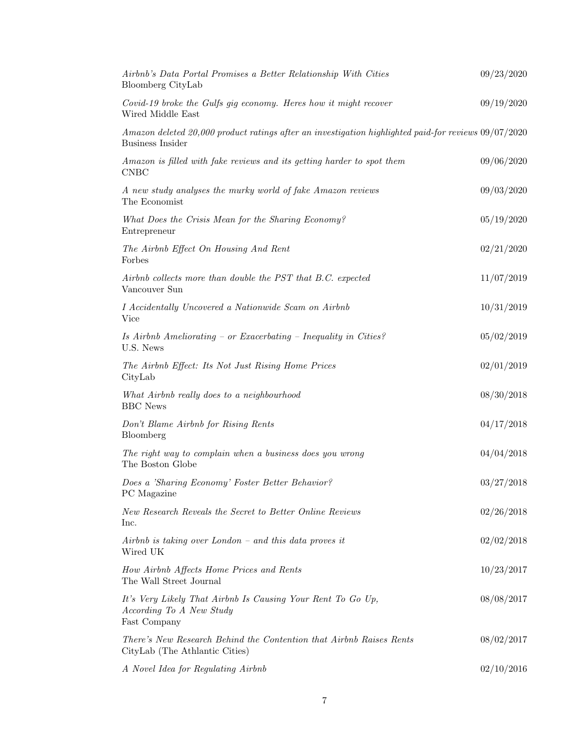| Airbnb's Data Portal Promises a Better Relationship With Cities<br>Bloomberg CityLab                                               | 09/23/2020 |
|------------------------------------------------------------------------------------------------------------------------------------|------------|
| Covid-19 broke the Gulfs gig economy. Here show it might recover<br>Wired Middle East                                              | 09/19/2020 |
| $A$ mazon deleted 20,000 product ratings after an investigation highlighted paid-for reviews 09/07/2020<br><b>Business Insider</b> |            |
| Amazon is filled with fake reviews and its getting harder to spot them<br><b>CNBC</b>                                              | 09/06/2020 |
| A new study analyses the murky world of fake Amazon reviews<br>The Economist                                                       | 09/03/2020 |
| What Does the Crisis Mean for the Sharing Economy?<br>Entrepreneur                                                                 | 05/19/2020 |
| The Airbnb Effect On Housing And Rent<br>Forbes                                                                                    | 02/21/2020 |
| Airbnb collects more than double the PST that B.C. expected<br>Vancouver Sun                                                       | 11/07/2019 |
| I Accidentally Uncovered a Nationwide Scam on Airbnb<br>Vice                                                                       | 10/31/2019 |
| Is Airbnb Ameliorating - or Exacerbating - Inequality in Cities?<br>U.S. News                                                      | 05/02/2019 |
| The Airbnb Effect: Its Not Just Rising Home Prices<br>CityLab                                                                      | 02/01/2019 |
| What Airbnb really does to a neighbourhood<br><b>BBC</b> News                                                                      | 08/30/2018 |
| Don't Blame Airbnb for Rising Rents<br>Bloomberg                                                                                   | 04/17/2018 |
| The right way to complain when a business does you wrong<br>The Boston Globe                                                       | 04/04/2018 |
| Does a 'Sharing Economy' Foster Better Behavior?<br>PC Magazine                                                                    | 03/27/2018 |
| New Research Reveals the Secret to Better Online Reviews<br>Inc.                                                                   | 02/26/2018 |
| Airbnb is taking over London $-$ and this data proves it<br>Wired UK                                                               | 02/02/2018 |
| How Airbnb Affects Home Prices and Rents<br>The Wall Street Journal                                                                | 10/23/2017 |
| It's Very Likely That Airbnb Is Causing Your Rent To Go Up,<br>According To A New Study<br>Fast Company                            | 08/08/2017 |
| There's New Research Behind the Contention that Airbnb Raises Rents<br>CityLab (The Athlantic Cities)                              | 08/02/2017 |
| A Novel Idea for Regulating Airbnb                                                                                                 | 02/10/2016 |